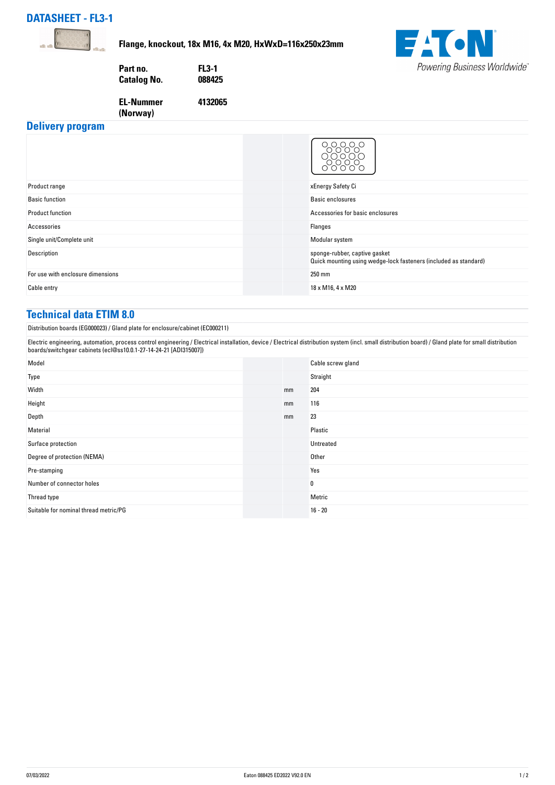## **DATASHEET - FL3-1**



**Flange, knockout, 18x M16, 4x M20, HxWxD=116x250x23mm**

**4132065**



**EL-Nummer**

**(Norway)** 



**Delivery program**

|                                   | റ റ                                                                                               |
|-----------------------------------|---------------------------------------------------------------------------------------------------|
| Product range                     | xEnergy Safety Ci                                                                                 |
| <b>Basic function</b>             | Basic enclosures                                                                                  |
| <b>Product function</b>           | Accessories for basic enclosures                                                                  |
| Accessories                       | Flanges                                                                                           |
| Single unit/Complete unit         | Modular system                                                                                    |
| Description                       | sponge-rubber, captive gasket<br>Quick mounting using wedge-lock fasteners (included as standard) |
| For use with enclosure dimensions | 250 mm                                                                                            |
| Cable entry                       | 18 x M16, 4 x M20                                                                                 |

## **Technical data ETIM 8.0**

Distribution boards (EG000023) / Gland plate for enclosure/cabinet (EC000211)

Electric engineering, automation, process control engineering / Electrical installation, device / Electrical distribution system (incl. small distribution board) / Gland plate for small distribution boards/switchgear cabinets (ecl@ss10.0.1-27-14-24-21 [ADI315007])

| Model                                 |    | Cable screw gland |
|---------------------------------------|----|-------------------|
| Type                                  |    | Straight          |
| Width                                 | mm | 204               |
| Height                                | mm | 116               |
| Depth                                 | mm | 23                |
| Material                              |    | Plastic           |
| Surface protection                    |    | Untreated         |
| Degree of protection (NEMA)           |    | Other             |
| Pre-stamping                          |    | Yes               |
| Number of connector holes             |    | 0                 |
| Thread type                           |    | Metric            |
| Suitable for nominal thread metric/PG |    | $16 - 20$         |